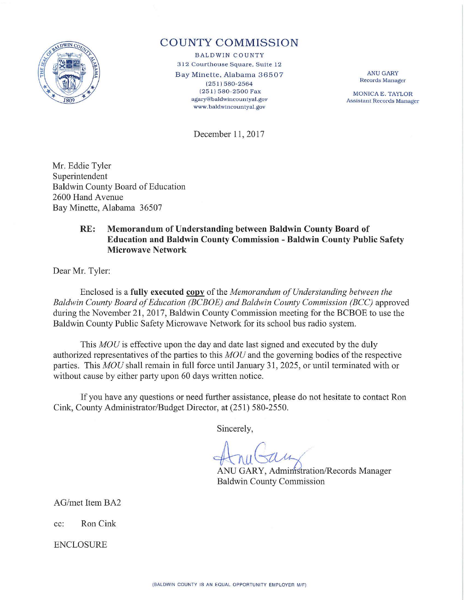

## COUNTY COMMISSION

BALDWIN COUNTY 312 Courthouse Square, Suite 12 Bay Minette, Alabama 36507 (25 1) 580-2564 (25 1) 580- 2 5 00 Fax a gary@baldwincountyal.gov www.baldwincountyal.gov

ANU GARY Records Manager

MONICA E. TAYLOR **Assistant Records Manager** 

December 11, 2017

Mr. Eddie Tyler Superintendent Baldwin County Board of Education 2600 Hand Avenue Bay Minette, Alabama 36507

### **RE: Memorandum of Understanding between Baldwin County Board of Education and Baldwin County Commission** - **Baldwin County Public Safety Microwave Network**

Dear Mr. Tyler:

Enclosed is a fully executed copy of the *Memorandum of Understanding between the Baldwin County Board of Education (BCBOE) and Baldwin County Commission (BCC)* approved during the November 21, 2017, Baldwin County Commission meeting for the BCBOE to use the Baldwin County Public Safety Microwave Network for its school bus radio system.

This *MOU* is effective upon the day and date last signed and executed by the duly authorized representatives of the parties to this *MOU* and the governing bodies of the respective parties. This *MOU* shall remain in full force until January 31, 2025, or until terminated with or without cause by either party upon 60 days written notice.

If you have any questions or need further assistance, please do not hesitate to contact Ron Cink, County Administrator/Budget Director, at (251) 580-2550.

Sincerely,

Sincery,

ANU GARY, Administration/Records Manager Baldwin County Commission

AG/met Item BA2

cc: Ron Cink

ENCLOSURE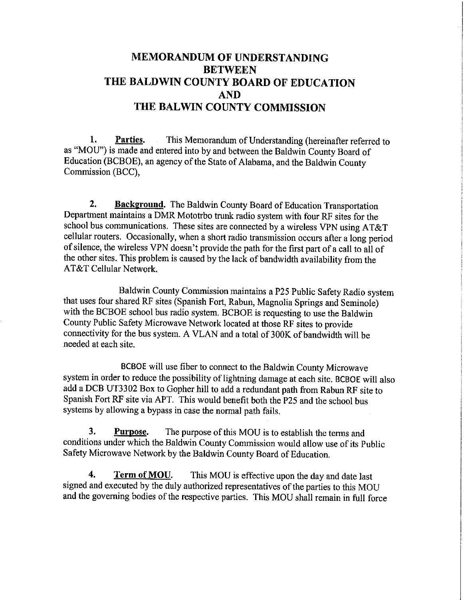# **MEMORANDUM OF UNDERSTANDING BETWEEN THE BALDWIN COUNTY BOARD OF EDUCATION AND THE BALWIN COUNTY COMMISSION**

**1. Parties.** This Memorandum of Understanding (hereinafter referred to as "MOU") is made and entered into by and between the Baldwin County Board of Education (BCBOE), an agency of the State of Alabama, and the Baldwin County Commission (BCC),

2. Background. The Baldwin County Board of Education Transportation Department maintains a DMR Mototrbo trunk radio system with four RF sites for the school bus communications. These sites are connected by a wireless VPN using AT&T cellular routers. Occasionally, when a short radio transmission occurs after a long period of silence, the wireless VPN doesn't provide the path for the first part of a call to all of the other sites. This problem is caused by the lack of bandwidth availability from the AT&T Cellular Network.

Baldwin County Commission maintains a P25 Public Safety Radio system that uses four shared RF sites (Spanish Fort, Rabun, Magnolia Springs and Seminole) with the BCBOE school bus radio system. BCBOE is requesting to use the Baldwin County Public Safety Microwave Network located at those RF sites to provide connectivity for the bus system. A VLAN and a total of 300K of bandwidth will be needed at each site.

BCBOE will use fiber to connect to the Baldwin County Microwave system in order to reduce the possibility of lightning damage at each site. BCBOE will also add a DCB UT3302 Box to Gopher hill to add a redundant path from Rabun RF site to Spanish Fort RF site via APT. This would benefit both the P25 and the school bus systems by allowing a bypass in case the normal path fails.

**3. Purpose.** The purpose of this MOU is to establish the terms and conditions under which the Baldwin County Commission would allow use of its Public Safety Microwave Network by the Baldwin County Board of Education.

**4. Term of MOU.** This MOU is effective upon the day and date last signed and executed by the duly authorized representatives of the parties to this MOU and the governing bodies of the respective parties. This MOU shall remain in full force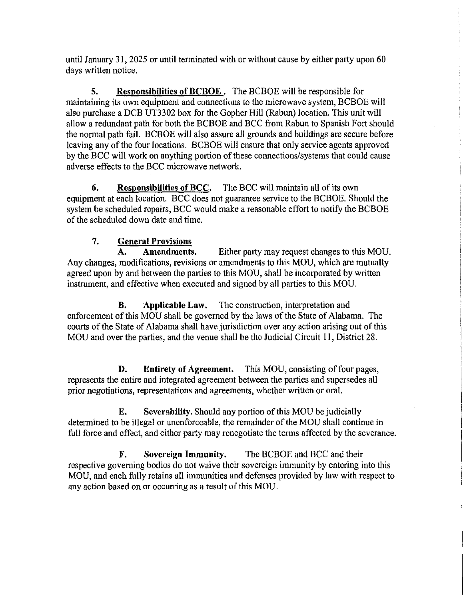until January 31, 2025 or until terminated with or without cause by either party upon 60 days written notice.

**S. Responsibilities ofBCBOE,** The BCBOE will be responsible for maintaining its own equipment and connections to the microwave system, BCBOE will also purchase a DCB UT3302 box for the Gopher Hill (Rabun) location. This unit will allow a redundant path for both the BCBOE and BCC from Rabun to Spanish Fort should the normal path fail. BCBOE will also assure all grounds and buildings are secure before leaving any of the four locations. BCBOE will ensure that only service agents approved by the BCC will work on anything portion of these connections/systems that could cause adverse effects to the BCC microwave network.

**6. Responsibilities of BCC.** The BCC will maintain all of its own equipment at each location. BCC does not guarantee service to the BCBOE. Should the system be scheduled repairs, BCC would make a reasonable effort to notify the BCBOE of the scheduled down date and time.

## 7. **General Provisions**

**A. Amendments.** Either party may request changes to this MOU. Any changes, modifications, revisions or amendments to this MOU, which are mutually agreed upon by and between the parties to this MOU, shall be incorporated by written instrument, and effective when executed and signed by all parties to this MOU.

**B. Applicable Law,** The construction, interpretation and enforcement of this MOU shall be governed by the laws of the State of Alabama. The courts of the State of Alabama shall have jurisdiction over any action arising out of this MOU and over the parties, and the venue shall be the Judicial Circuit 11, District 28.

**D. Entirety of Agreement.** This MOU, consisting of four pages, represents the entire and integrated agreement between the parties and supersedes all prior negotiations, representations and agreements, whether written or oral.

**E. Severability.** Should any portion of this MOU be judicially determined to be illegal or unenforceable, the remainder of the MOU shall continue in full force and effect, and either party may renegotiate the terms affected by the severance.

**F. Sovereign Immunity.** The BCBOE and BCC and their respective governing bodies do not waive their sovereign immunity by entering into this MOU, and each fully retains all immunities and defenses provided by law with respect to any action based on or occurring as a result of this MOU.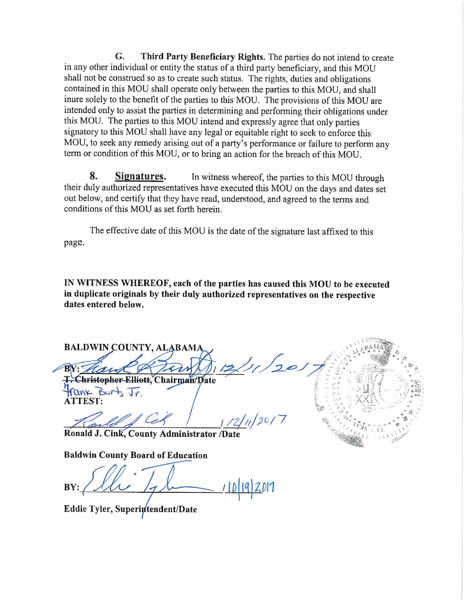**G. Third Party Beneficiary Rights.** The parties do not intend to create in any other individual or entity the status of a third party beneficiary, and this MOU shall not be construed so as to create such status. The rights, duties and obligations contained in this MOU shall operate only between the parties to this MOU, and shall inure solely to the benefit of the parties to this MOU. The provisions of this MOU are intended only to assist the parties in determining and performing their obligations under this MOU. The parties to this MOU intend and expressly agree that only parties signatory to this MOU shall have any legal or equitable right to seek to enforce this MOU, to seek any remedy arising out of a party's performance or failure to perform any term or condition of this MOU, or to bring an action for the breach of this MOU.

**8.** Signatures. In witness whereof, the parties to this MOU through their duly authorized representatives have executed this MOU on the days and dates set out below, and certify that they have read, understood, and agreed to the tenns and conditions of this MOU as set forth herein.

The effective date of this MOU is the date of the signature last affixed to this page.

**IN WITNESS WHEREOF, each of the parties has caused this MOU to be executed in duplicate originals by their duly authorized representatives on the respective dates entered below.** 

**BALDWIN COUNTY, ALABAM** 

Christopher Elliott, Chairman/Date<br>OUNE BUIT, Jr **ATTEST:** 

 $\frac{N: \text{Idual}}{N}$ <br>
- Christopher Elliott, Chairman/Date<br>  $f(0)$ <br>
FOUNK Burt, Jr.<br>
TTEST:<br>
Conald J. Cink, County Administrator /Date

**Ronald J. Cink, County Administrator /Date** 

**Baldwin County Board of Education** 

Eddie Tyler, Superintendent/Date